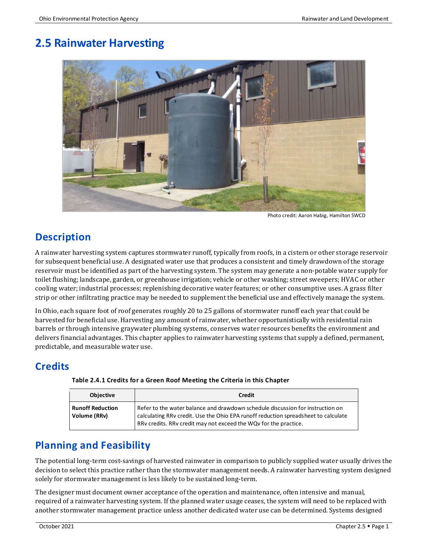# **2.5 Rainwater Harvesting**



Photo credit: Aaron Habig, Hamilton SWCD

# **Description**

A rainwater harvesting system captures stormwater runoff, typically from roofs, in a cistern or other storage reservoir for subsequent beneficial use. A designated water use that produces a consistent and timely drawdown of the storage reservoir must be identified as part of the harvesting system. The system may generate a non-potable water supply for toilet flushing; landscape, garden, or greenhouse irrigation; vehicle or other washing; street sweepers; HVAC or other cooling water; industrial processes; replenishing decorative water features; or other consumptive uses. A grass filter strip or other infiltrating practice may be needed to supplement the beneficial use and effectively manage the system.

In Ohio, each square foot of roof generates roughly 20 to 25 gallons of stormwater runoff each year that could be harvested for beneficial use. Harvesting any amount of rainwater, whether opportunistically with residential rain barrels or through intensive graywater plumbing systems, conserves water resources benefits the environment and delivers financial advantages. This chapter applies to rainwater harvesting systems that supply a defined, permanent, predictable, and measurable water use.

# **Credits**

| <b>Objective</b>                        | Credit                                                                                                                                                                                                                                   |
|-----------------------------------------|------------------------------------------------------------------------------------------------------------------------------------------------------------------------------------------------------------------------------------------|
| <b>Runoff Reduction</b><br>Volume (RRv) | Refer to the water balance and drawdown schedule discussion for instruction on<br>calculating RRv credit. Use the Ohio EPA runoff reduction spreadsheet to calculate<br>RRv credits. RRv credit may not exceed the WQv for the practice. |

#### **Table 2.4.1 Credits for a Green Roof Meeting the Criteria in this Chapter**

# **Planning and Feasibility**

The potential long-term cost-savings of harvested rainwater in comparison to publicly supplied water usually drives the decision to select this practice rather than the stormwater management needs. A rainwater harvesting system designed solely for stormwater management is less likely to be sustained long-term.

The designer must document owner acceptance of the operation and maintenance, often intensive and manual, required of a rainwater harvesting system. If the planned water usage ceases, the system will need to be replaced with another stormwater management practice unless another dedicated water use can be determined. Systems designed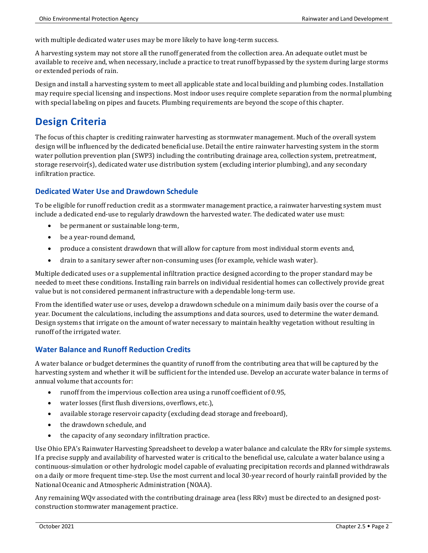with multiple dedicated water uses may be more likely to have long-term success.

A harvesting system may not store all the runoff generated from the collection area. An adequate outlet must be available to receive and, when necessary, include a practice to treat runoff bypassed by the system during large storms or extended periods of rain.

Design and install a harvesting system to meet all applicable state and local building and plumbing codes. Installation may require special licensing and inspections. Most indoor uses require complete separation from the normal plumbing with special labeling on pipes and faucets. Plumbing requirements are beyond the scope of this chapter.

# **Design Criteria**

The focus of this chapter is crediting rainwater harvesting as stormwater management. Much of the overall system design will be influenced by the dedicated beneficial use. Detail the entire rainwater harvesting system in the storm water pollution prevention plan (SWP3) including the contributing drainage area, collection system, pretreatment, storage reservoir(s), dedicated water use distribution system (excluding interior plumbing), and any secondary infiltration practice.

## **Dedicated Water Use and Drawdown Schedule**

To be eligible for runoff reduction credit as a stormwater management practice, a rainwater harvesting system must include a dedicated end-use to regularly drawdown the harvested water. The dedicated water use must:

- be permanent or sustainable long-term,
- be a year-round demand,
- produce a consistent drawdown that will allow for capture from most individual storm events and,
- drain to a sanitary sewer after non-consuming uses (for example, vehicle wash water).

Multiple dedicated uses or a supplemental infiltration practice designed according to the proper standard may be needed to meet these conditions. Installing rain barrels on individual residential homes can collectively provide great value but is not considered permanent infrastructure with a dependable long-term use.

From the identified water use or uses, develop a drawdown schedule on a minimum daily basis over the course of a year. Document the calculations, including the assumptions and data sources, used to determine the water demand. Design systems that irrigate on the amount of water necessary to maintain healthy vegetation without resulting in runoff of the irrigated water.

## **Water Balance and Runoff Reduction Credits**

A water balance or budget determines the quantity of runoff from the contributing area that will be captured by the harvesting system and whether it will be sufficient for the intended use. Develop an accurate water balance in terms of annual volume that accounts for:

- runoff from the impervious collection area using a runoff coefficient of 0.95,
- water losses (first flush diversions, overflows, etc.),
- available storage reservoir capacity (excluding dead storage and freeboard),
- the drawdown schedule, and
- the capacity of any secondary infiltration practice.

Use Ohio EPA's Rainwater Harvesting Spreadsheet to develop a water balance and calculate the RRv for simple systems. If a precise supply and availability of harvested water is critical to the beneficial use, calculate a water balance using a continuous-simulation or other hydrologic model capable of evaluating precipitation records and planned withdrawals on a daily or more frequent time-step. Use the most current and local 30-year record of hourly rainfall provided by the National Oceanic and Atmospheric Administration (NOAA).

Any remaining WQv associated with the contributing drainage area (less RRv) must be directed to an designed postconstruction stormwater management practice.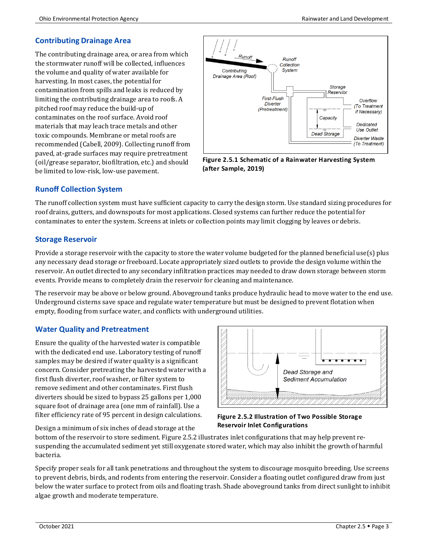## **Contributing Drainage Area**

The contributing drainage area, or area from which the stormwater runoff will be collected, influences the volume and quality of water available for harvesting. In most cases, the potential for contamination from spills and leaks is reduced by limiting the contributing drainage area to roofs. A pitched roof may reduce the build-up of contaminates on the roof surface. Avoid roof materials that may leach trace metals and other toxic compounds. Membrane or metal roofs are recommended (Cabell, 2009). Collecting runoff from paved, at-grade surfaces may require pretreatment (oil/grease separator, biofiltration, etc.) and should be limited to low-risk, low-use pavement.



**Figure 2.5.1 Schematic of a Rainwater Harvesting System (after Sample, 2019)**

## **Runoff Collection System**

The runoff collection system must have sufficient capacity to carry the design storm. Use standard sizing procedures for roof drains, gutters, and downspouts for most applications. Closed systems can further reduce the potential for contaminates to enter the system. Screens at inlets or collection points may limit clogging by leaves or debris.

## **Storage Reservoir**

Provide a storage reservoir with the capacity to store the water volume budgeted for the planned beneficial use(s) plus any necessary dead storage or freeboard. Locate appropriately sized outlets to provide the design volume within the reservoir. An outlet directed to any secondary infiltration practices may needed to draw down storage between storm events. Provide means to completely drain the reservoir for cleaning and maintenance.

The reservoir may be above or below ground. Aboveground tanks produce hydraulic head to move water to the end use. Underground cisterns save space and regulate water temperature but must be designed to prevent flotation when empty, flooding from surface water, and conflicts with underground utilities.

## **Water Quality and Pretreatment**

Ensure the quality of the harvested water is compatible with the dedicated end use. Laboratory testing of runoff samples may be desired if water quality is a significant concern. Consider pretreating the harvested water with a first flush diverter, roof washer, or filter system to remove sediment and other contaminates. First flush diverters should be sized to bypass 25 gallons per 1,000 square foot of drainage area (one mm of rainfall). Use a filter efficiency rate of 95 percent in design calculations.

Design a minimum of six inches of dead storage at the



**Figure 2.5.2 Illustration of Two Possible Storage Reservoir Inlet Configurations**

bottom of the reservoir to store sediment. Figure 2.5.2 illustrates inlet configurations that may help prevent resuspending the accumulated sediment yet still oxygenate stored water, which may also inhibit the growth of harmful bacteria.

Specify proper seals for all tank penetrations and throughout the system to discourage mosquito breeding. Use screens to prevent debris, birds, and rodents from entering the reservoir. Consider a floating outlet configured draw from just below the water surface to protect from oils and floating trash. Shade aboveground tanks from direct sunlight to inhibit algae growth and moderate temperature.